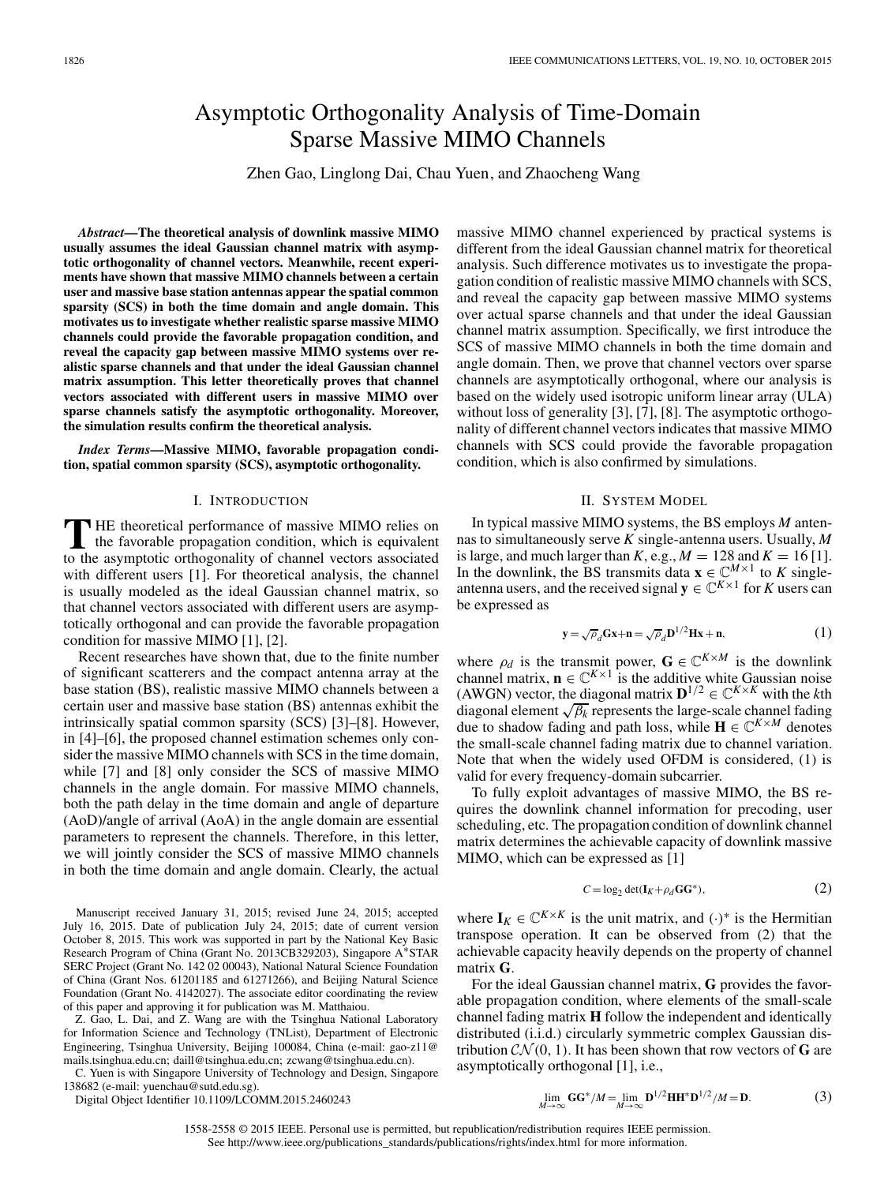# Asymptotic Orthogonality Analysis of Time-Domain Sparse Massive MIMO Channels

Zhen Gao, Linglong Dai, Chau Yuen, and Zhaocheng Wang

*Abstract***—The theoretical analysis of downlink massive MIMO usually assumes the ideal Gaussian channel matrix with asymptotic orthogonality of channel vectors. Meanwhile, recent experiments have shown that massive MIMO channels between a certain user and massive base station antennas appear the spatial common sparsity (SCS) in both the time domain and angle domain. This motivates us to investigate whether realistic sparse massive MIMO channels could provide the favorable propagation condition, and reveal the capacity gap between massive MIMO systems over realistic sparse channels and that under the ideal Gaussian channel matrix assumption. This letter theoretically proves that channel vectors associated with different users in massive MIMO over sparse channels satisfy the asymptotic orthogonality. Moreover, the simulation results confirm the theoretical analysis.**

*Index Terms***—Massive MIMO, favorable propagation condition, spatial common sparsity (SCS), asymptotic orthogonality.**

## I. INTRODUCTION

**T** HE theoretical performance of massive MIMO relies on the favorable propagation condition, which is equivalent to the asymptotic orthogonality of channel vectors associated with different users [1]. For theoretical analysis, the channel is usually modeled as the ideal Gaussian channel matrix, so that channel vectors associated with different users are asymptotically orthogonal and can provide the favorable propagation condition for massive MIMO [1], [2].

Recent researches have shown that, due to the finite number of significant scatterers and the compact antenna array at the base station (BS), realistic massive MIMO channels between a certain user and massive base station (BS) antennas exhibit the intrinsically spatial common sparsity (SCS) [3]–[8]. However, in [4]–[6], the proposed channel estimation schemes only consider the massive MIMO channels with SCS in the time domain, while [7] and [8] only consider the SCS of massive MIMO channels in the angle domain. For massive MIMO channels, both the path delay in the time domain and angle of departure (AoD)/angle of arrival (AoA) in the angle domain are essential parameters to represent the channels. Therefore, in this letter, we will jointly consider the SCS of massive MIMO channels in both the time domain and angle domain. Clearly, the actual

Manuscript received January 31, 2015; revised June 24, 2015; accepted July 16, 2015. Date of publication July 24, 2015; date of current version October 8, 2015. This work was supported in part by the National Key Basic Research Program of China (Grant No. 2013CB329203), Singapore A∗STAR SERC Project (Grant No. 142 02 00043), National Natural Science Foundation of China (Grant Nos. 61201185 and 61271266), and Beijing Natural Science Foundation (Grant No. 4142027). The associate editor coordinating the review of this paper and approving it for publication was M. Matthaiou.

Z. Gao, L. Dai, and Z. Wang are with the Tsinghua National Laboratory for Information Science and Technology (TNList), Department of Electronic Engineering, Tsinghua University, Beijing 100084, China (e-mail: gao-z11@ mails.tsinghua.edu.cn; daill@tsinghua.edu.cn; zcwang@tsinghua.edu.cn).

C. Yuen is with Singapore University of Technology and Design, Singapore 138682 (e-mail: yuenchau@sutd.edu.sg).

Digital Object Identifier 10.1109/LCOMM.2015.2460243

massive MIMO channel experienced by practical systems is different from the ideal Gaussian channel matrix for theoretical analysis. Such difference motivates us to investigate the propagation condition of realistic massive MIMO channels with SCS, and reveal the capacity gap between massive MIMO systems over actual sparse channels and that under the ideal Gaussian channel matrix assumption. Specifically, we first introduce the SCS of massive MIMO channels in both the time domain and angle domain. Then, we prove that channel vectors over sparse channels are asymptotically orthogonal, where our analysis is based on the widely used isotropic uniform linear array (ULA) without loss of generality [3], [7], [8]. The asymptotic orthogonality of different channel vectors indicates that massive MIMO channels with SCS could provide the favorable propagation condition, which is also confirmed by simulations.

### II. SYSTEM MODEL

In typical massive MIMO systems, the BS employs *M* antennas to simultaneously serve *K* single-antenna users. Usually, *M* is large, and much larger than *K*, e.g.,  $M = 128$  and  $K = 16$  [1]. In the downlink, the BS transmits data  $\mathbf{x} \in \mathbb{C}^{M \times 1}$  to *K* singleantenna users, and the received signal  $y \in \mathbb{C}^{K \times 1}$  for *K* users can be expressed as

$$
\mathbf{y} = \sqrt{\rho}_d \mathbf{G} \mathbf{x} + \mathbf{n} = \sqrt{\rho}_d \mathbf{D}^{1/2} \mathbf{H} \mathbf{x} + \mathbf{n},\tag{1}
$$

where  $\rho_d$  is the transmit power,  $\mathbf{G} \in \mathbb{C}^{K \times M}$  is the downlink channel matrix,  $\mathbf{n} \in \mathbb{C}^{K \times 1}$  is the additive white Gaussian noise (AWGN) vector, the diagonal matrix  $\mathbf{D}^{1/2} \in \mathbb{C}^{K \times K}$  with the *k*th diagonal element  $\sqrt{\beta_k}$  represents the large-scale channel fading due to shadow fading and path loss, while  $\mathbf{H} \in \mathbb{C}^{K \times M}$  denotes the small-scale channel fading matrix due to channel variation. Note that when the widely used OFDM is considered, (1) is valid for every frequency-domain subcarrier.

To fully exploit advantages of massive MIMO, the BS requires the downlink channel information for precoding, user scheduling, etc. The propagation condition of downlink channel matrix determines the achievable capacity of downlink massive MIMO, which can be expressed as [1]

$$
C = \log_2 \det(\mathbf{I}_K + \rho_d \mathbf{G} \mathbf{G}^*),\tag{2}
$$

where  $I_K \in \mathbb{C}^{K \times K}$  is the unit matrix, and  $(\cdot)^*$  is the Hermitian transpose operation. It can be observed from (2) that the achievable capacity heavily depends on the property of channel matrix **G**.

For the ideal Gaussian channel matrix, **G** provides the favorable propagation condition, where elements of the small-scale channel fading matrix **H** follow the independent and identically distributed (i.i.d.) circularly symmetric complex Gaussian distribution  $CN(0, 1)$ . It has been shown that row vectors of **G** are asymptotically orthogonal [1], i.e.,

$$
\lim_{M \to \infty} \mathbf{G} \mathbf{G}^* / M = \lim_{M \to \infty} \mathbf{D}^{1/2} \mathbf{H} \mathbf{H}^* \mathbf{D}^{1/2} / M = \mathbf{D}.
$$
 (3)

1558-2558 © 2015 IEEE. Personal use is permitted, but republication/redistribution requires IEEE permission. See http://www.ieee.org/publications\_standards/publications/rights/index.html for more information.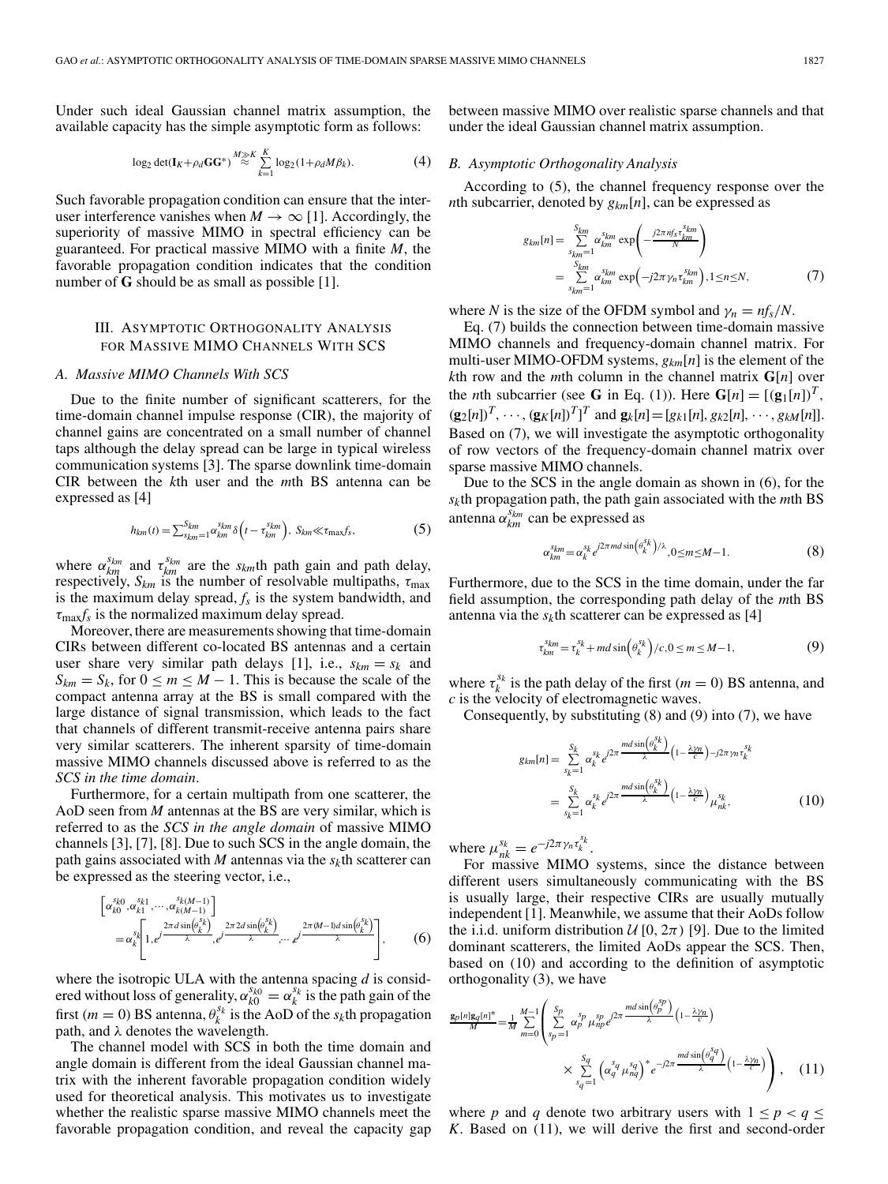Under such ideal Gaussian channel matrix assumption, the available capacity has the simple asymptotic form as follows:

$$
\log_2 \det(\mathbf{I}_K + \rho_d \mathbf{G} \mathbf{G}^*) \stackrel{M \gg K}{\approx} \sum_{k=1}^K \log_2(1 + \rho_d M \beta_k). \tag{4}
$$

Such favorable propagation condition can ensure that the interuser interference vanishes when  $M \to \infty$  [1]. Accordingly, the superiority of massive MIMO in spectral efficiency can be guaranteed. For practical massive MIMO with a finite *M*, the favorable propagation condition indicates that the condition number of **G** should be as small as possible [1].

# III. ASYMPTOTIC ORTHOGONALITY ANALYSIS FOR MASSIVE MIMO CHANNELS WITH SCS

#### *A. Massive MIMO Channels With SCS*

Due to the finite number of significant scatterers, for the time-domain channel impulse response (CIR), the majority of channel gains are concentrated on a small number of channel taps although the delay spread can be large in typical wireless communication systems [3]. The sparse downlink time-domain CIR between the *k*th user and the *m*th BS antenna can be expressed as [4]

$$
h_{km}(t) = \sum_{s_{km}}^{S_{km}} \alpha_{km}^{s_{km}} \delta\left(t - \tau_{km}^{s_{km}}\right), \ S_{km} \ll \tau_{\text{max}} f_s,\tag{5}
$$

where  $\alpha_{km}^{s_{km}}$  and  $\tau_{km}^{s_{km}}$  are the *s<sub>km</sub>*th path gain and path delay, respectively,  $S_{km}$  is the number of resolvable multipaths,  $\tau_{\text{max}}$ is the maximum delay spread,  $f_s$  is the system bandwidth, and  $\tau_{\text{max}} f_s$  is the normalized maximum delay spread.

Moreover, there are measurements showing that time-domain CIRs between different co-located BS antennas and a certain user share very similar path delays [1], i.e.,  $s_{km} = s_k$  and  $S_{km} = S_k$ , for  $0 \le m \le M - 1$ . This is because the scale of the compact antenna array at the BS is small compared with the large distance of signal transmission, which leads to the fact that channels of different transmit-receive antenna pairs share very similar scatterers. The inherent sparsity of time-domain massive MIMO channels discussed above is referred to as the *SCS in the time domain*.

Furthermore, for a certain multipath from one scatterer, the AoD seen from *M* antennas at the BS are very similar, which is referred to as the *SCS in the angle domain* of massive MIMO channels [3], [7], [8]. Due to such SCS in the angle domain, the path gains associated with *M* antennas via the  $s_k$ th scatterer can be expressed as the steering vector, i.e.,

$$
\begin{bmatrix}\n\alpha_{k0}^{s_{k0}}, \alpha_{k1}^{s_{k1}}, \cdots, \alpha_{k(M-1)}^{s_{k(M-1)}} \\
= \alpha_{k}^{s_{k}}\n\begin{bmatrix}\n1, e^{j\frac{2\pi d \sin(\theta_{k}^{s_{k}})}{\lambda}}, e^{j\frac{2\pi 2d \sin(\theta_{k}^{s_{k}})}{\lambda}}, \cdots, e^{j\frac{2\pi (M-1)d \sin(\theta_{k}^{s_{k}})}{\lambda}\n\end{bmatrix},\n\end{bmatrix},
$$
\n(6)

where the isotropic ULA with the antenna spacing *d* is considered without loss of generality,  $\alpha_{k0}^{s_{k0}} = \alpha_k^{s_k}$  is the path gain of the first ( $m = 0$ ) BS antenna,  $\theta_k^{s_k}$  is the AoD of the  $s_k$ <sup>th</sup> propagation path, and  $\lambda$  denotes the wavelength.

The channel model with SCS in both the time domain and angle domain is different from the ideal Gaussian channel matrix with the inherent favorable propagation condition widely used for theoretical analysis. This motivates us to investigate whether the realistic sparse massive MIMO channels meet the favorable propagation condition, and reveal the capacity gap between massive MIMO over realistic sparse channels and that under the ideal Gaussian channel matrix assumption.

#### *B. Asymptotic Orthogonality Analysis*

According to (5), the channel frequency response over the *n*th subcarrier, denoted by *gkm*[*n*], can be expressed as

$$
g_{km}[n] = \sum_{s_{km}=1}^{S_{km}} \alpha_{km}^{s_{km}} \exp\left(-\frac{j2\pi n f_s \tau_{km}^{s_{km}}}{N}\right)
$$
  
= 
$$
\sum_{s_{km}=1}^{S_{km}} \alpha_{km}^{s_{km}} \exp\left(-j2\pi \gamma_n \tau_{km}^{s_{km}}\right), 1 \le n \le N,
$$
 (7)

where *N* is the size of the OFDM symbol and  $\gamma_n = nf_s/N$ .

Eq. (7) builds the connection between time-domain massive MIMO channels and frequency-domain channel matrix. For multi-user MIMO-OFDM systems, *gkm*[*n*] is the element of the *k*th row and the *m*th column in the channel matrix  $G[n]$  over the *n*th subcarrier (see **G** in Eq. (1)). Here  $\mathbf{G}[n] = [(\mathbf{g}_1[n])^T$ ,  $(\mathbf{g}_2[n])^T, \cdots, (\mathbf{g}_K[n])^T]^T$  and  $\mathbf{g}_k[n]=[g_{k1}[n], g_{k2}[n], \cdots, g_{kM}[n]].$ Based on (7), we will investigate the asymptotic orthogonality of row vectors of the frequency-domain channel matrix over sparse massive MIMO channels.

Due to the SCS in the angle domain as shown in (6), for the *sk*th propagation path, the path gain associated with the *m*th BS antenna  $\alpha_{km}^{s_{km}}$  can be expressed as

$$
\alpha_{km}^{s_{km}} = \alpha_k^{s_k} e^{j2\pi m d \sin\left(\theta_k^{s_k}\right)/\lambda}, 0 \le m \le M - 1.
$$
\n(8)

Furthermore, due to the SCS in the time domain, under the far field assumption, the corresponding path delay of the *m*th BS antenna via the  $s_k$ th scatterer can be expressed as [4]

$$
\tau_{km}^{s_{km}} = \tau_k^{s_k} + md \sin\left(\theta_k^{s_k}\right) / c, 0 \le m \le M - 1,\tag{9}
$$

where  $\tau_k^{s_k}$  is the path delay of the first ( $m = 0$ ) BS antenna, and *c* is the velocity of electromagnetic waves.

Consequently, by substituting (8) and (9) into (7), we have

$$
g_{km}[n] = \sum_{s_k=1}^{S_k} \alpha_k^{s_k} e^{j2\pi \frac{md \sin(\theta_k^{s_k})}{\lambda}} (1 - \frac{\lambda \gamma_n}{c})^{-j2\pi \gamma_n \tau_k^{s_k}}
$$
  
= 
$$
\sum_{s_k=1}^{S_k} \alpha_k^{s_k} e^{j2\pi \frac{md \sin(\theta_k^{s_k})}{\lambda}} (1 - \frac{\lambda \gamma_n}{c})_{\mu_{nk}^{s_k}},
$$
(10)

where  $\mu_{nk}^{s_k} = e^{-j2\pi \gamma_n \tau_k^{s_k}}$ .

For massive MIMO systems, since the distance between different users simultaneously communicating with the BS is usually large, their respective CIRs are usually mutually independent [1]. Meanwhile, we assume that their AoDs follow the i.i.d. uniform distribution  $\mathcal{U}[0, 2\pi)$  [9]. Due to the limited dominant scatterers, the limited AoDs appear the SCS. Then, based on (10) and according to the definition of asymptotic orthogonality (3), we have

$$
\frac{\mathbf{g}_p[n]\mathbf{g}_q[n]^*}{M} = \frac{1}{M} \sum_{m=0}^{M-1} \left( \sum_{s_p=1}^{S_p} \alpha_p^{s_p} \mu_{np}^{s_p} e^{j2\pi} \frac{m d \sin(\theta_p^{s_p})}{\lambda} \left( 1 - \frac{\lambda \gamma_n}{c} \right) \times \sum_{s_q=1}^{S_q} \left( \alpha_q^{s_q} \mu_{nq}^{s_q} \right)^* e^{-j2\pi} \frac{m d \sin(\theta_q^{s_q})}{\lambda} \left( 1 - \frac{\lambda \gamma_n}{c} \right) \right), \quad (11)
$$

where *p* and *q* denote two arbitrary users with  $1 \le p < q \le$ *K*. Based on (11), we will derive the first and second-order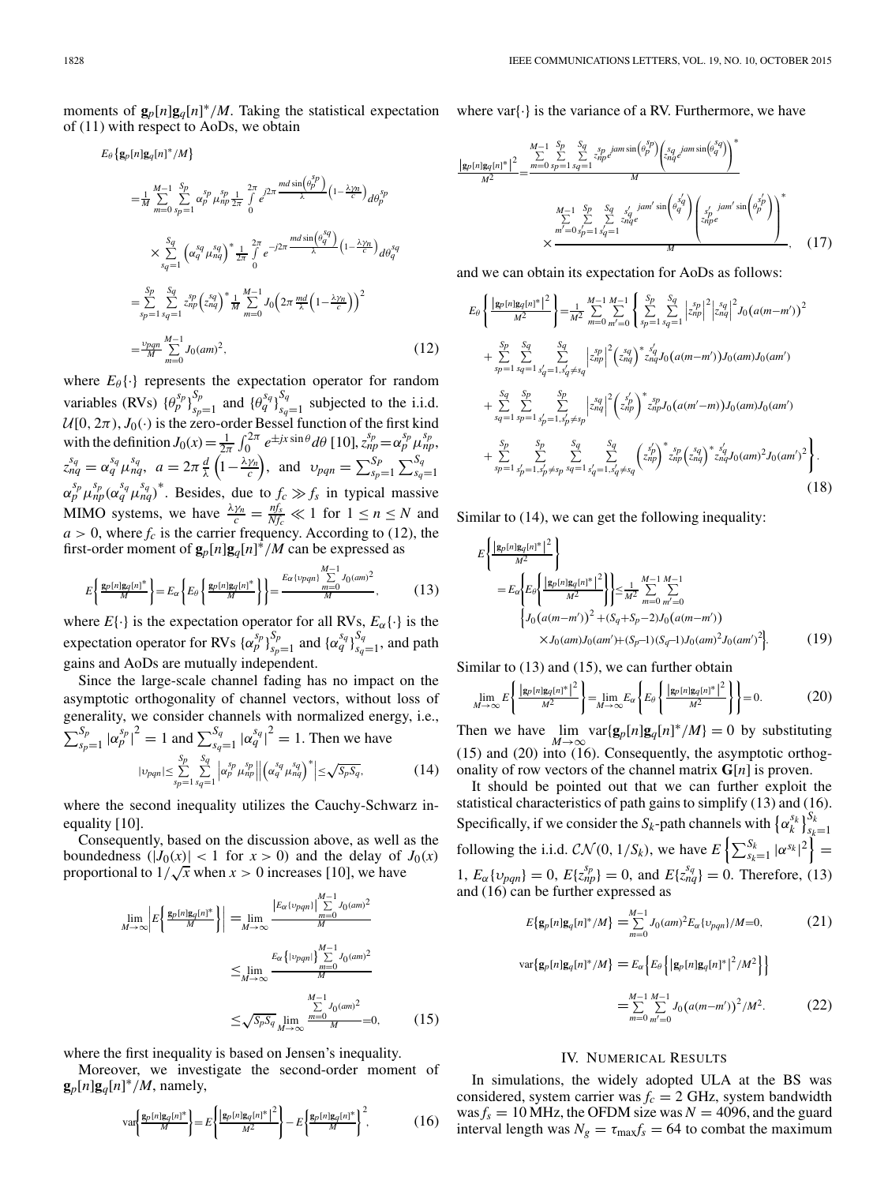moments of  $\mathbf{g}_p[n]\mathbf{g}_q[n]^*/M$ . Taking the statistical expectation of (11) with respect to AoDs, we obtain

$$
E_{\theta}\left\{\mathbf{g}_{p}[n]\mathbf{g}_{q}[n]^*/M\right\}
$$
\n
$$
= \frac{1}{M} \sum_{m=0}^{M-1} \sum_{sp=1}^{s_{p}} \alpha_{p}^{sp} \mu_{sp}^{\frac{s_{p}}{2}} \frac{1}{\theta} e^{j2\pi} \frac{m d \sin\left(\theta_{p}^{sp}\right)}{\lambda} \left(1 - \frac{\lambda \gamma_{n}}{c}\right) d\theta_{p}^{sp}
$$
\n
$$
\times \sum_{sq=1}^{s_{q}} \left(\alpha_{q}^{s_{q}} \mu_{nq}^{s_{q}}\right)^{*} \frac{1}{2\pi} \int_{0}^{2\pi} e^{-j2\pi} \frac{m d \sin\left(\theta_{q}^{s_{q}}\right)}{\lambda} \left(1 - \frac{\lambda \gamma_{n}}{c}\right) d\theta_{q}^{s_{q}}
$$
\n
$$
= \sum_{sp=1}^{S_{p}} \sum_{s_{q}=1}^{S_{q}} z_{sp}^{sp} \left(z_{sq}^{s_{q}}\right)^{*} \frac{1}{M} \sum_{m=0}^{M-1} J_{0}\left(2\pi \frac{md}{\lambda} \left(1 - \frac{\lambda \gamma_{n}}{c}\right)\right)^{2}
$$
\n
$$
= \frac{\nu_{pqn}}{M} \sum_{m=0}^{M-1} J_{0}(am)^{2}, \qquad (12)
$$

where  $E_{\theta} \{\cdot\}$  represents the expectation operator for random variables (RVs)  $\{\theta_p^{s_p}\}_{s_p=1}^{S_p}$  and  $\{\theta_q^{s_q}\}_{s_q=1}^{S_q}$  subjected to the i.i.d.  $U[0, 2\pi)$ ,  $J_0(\cdot)$  is the zero-order Bessel function of the first kind with the definition  $J_0(x) = \frac{1}{2\pi} \int_0^{2\pi} e^{\pm jx \sin \theta} d\theta$  [10],  $z_{np}^{s_p} = \alpha_p^{s_p} \mu_{np}^{s_p}$ ,  $z_{nq}^{s_q} = \alpha_q^{s_q} \mu_{nq}^{s_q}, \ \ a = 2\pi \frac{d}{\lambda} \left( 1 - \frac{\lambda \gamma_n}{c} \right), \ \ \text{and} \ \ \ \nu_{pqn} = \sum_{s_p=1}^{S_p} \sum_{s_q=1}^{S_q}$  $a = 2\pi \frac{1}{\lambda} \left(1 - \frac{1}{c}\right)$ , and  $v_{pqn} = \sum_{s_p=1}^{s} \sum_{s_q=1}^{s_q}$  $\alpha_p^{s_p} \mu_{np}^{s_p} (\alpha_q^{s_q} \mu_{nq}^{s_q})^*$ . Besides, due to  $f_c \gg f_s$  in typical massive MIMO systems, we have  $\frac{\lambda y_n}{c} = \frac{n f_s}{N f_c} \ll 1$  for  $1 \le n \le N$  and  $a > 0$ , where  $f_c$  is the carrier frequency. According to (12), the first-order moment of  $\mathbf{g}_p[n]\mathbf{g}_q[n]^*/M$  can be expressed as

$$
E\left\{\frac{\mathbf{g}_p[n]\mathbf{g}_q[n]^*}{M}\right\} = E_\alpha \left\{ E_\theta \left\{\frac{\mathbf{g}_p[n]\mathbf{g}_q[n]^*}{M} \right\} \right\} = \frac{E_\alpha \{v_{pqn}\}\sum\limits_{m=0}^{M-1} J_0(am)^2}{M},\tag{13}
$$

where  $E\{\cdot\}$  is the expectation operator for all RVs,  $E_\alpha\{\cdot\}$  is the expectation operator for RVs  $\{\alpha_p^{s_p}\}_{s_p=1}^{S_p}$  and  $\{\alpha_q^{s_q}\}_{s_q=1}^{S_q}$ , and path gains and AoDs are mutually independent.

Since the large-scale channel fading has no impact on the asymptotic orthogonality of channel vectors, without loss of generality, we consider channels with normalized energy, i.e.,  $\sum_{s_p=1}^{S_p} |\alpha_p^{s_p}|^2 = 1$  and  $\sum_{s_q=1}^{S_q} |\alpha_q^{s_q}|^2 = 1$ . Then we have  $|v_{pqn}| \leq \sum_{n=1}^{S_p}$  $\sum_{s_p=1}^{S_p} \sum_{s_q=1}^{S_q}$ *sq*=1  $\left| \alpha_p^{sp} \mu_{np}^{sp} \right|$  $\begin{array}{c} \n\end{array}$  $\left(\alpha_q^{sq} \mu_{nq}^{sq}\right)^* \geq \sqrt{S_p S_q},$ (14)

where the second inequality utilizes the Cauchy-Schwarz inequality [10].

Consequently, based on the discussion above, as well as the boundedness  $(|J_0(x)| < 1$  for  $x > 0$ ) and the delay of  $J_0(x)$ boundedness  $(|J_0(x)| < 1$  for  $x > 0$  and the delay of proportional to  $1/\sqrt{x}$  when  $x > 0$  increases [10], we have

$$
\lim_{M \to \infty} \left| E \left\{ \frac{\mathbf{g}_p[n] \mathbf{g}_q[n]^*}{M} \right\} \right| = \lim_{M \to \infty} \frac{\left| E_\alpha(\nu_{pqn}) \right| \sum_{m=0}^{M-1} J_0(am)^2}{M}
$$
\n
$$
\leq \lim_{M \to \infty} \frac{E_\alpha \left\{ |\nu_{pqn}| \right\}_{m=0}^{M-1} J_0(am)^2}{M}
$$
\n
$$
\leq \sqrt{S_p S_q} \lim_{M \to \infty} \frac{\sum_{m=0}^{M-1} J_0(am)^2}{M} = 0,
$$
\n(15)

where the first inequality is based on Jensen's inequality.

Moreover, we investigate the second-order moment of  $\mathbf{g}_p[n]\mathbf{g}_q[n]^*/M$ , namely,

$$
\text{var}\left\{\frac{\mathbf{g}_p[n]\mathbf{g}_q[n]^*}{M}\right\} = E\left\{\frac{|\mathbf{g}_p[n]\mathbf{g}_q[n]^*|^2}{M^2}\right\} - E\left\{\frac{\mathbf{g}_p[n]\mathbf{g}_q[n]^*}{M}\right\}^2,\tag{16}
$$

where var $\{\cdot\}$  is the variance of a RV. Furthermore, we have

$$
\frac{|\mathbf{g}_p[n]\mathbf{g}_q[n]^*|^2}{M^2} = \frac{\sum_{m=0}^{M-1} \sum_{sp=1}^{Sp} \sum_{sq=1}^{Sp} \sum_{sqp}^{j} amsin(\theta_p^{sp}) \left(\sum_{sqq}^{s} amsin(\theta_q^{sp})\right)^*}{M}
$$
\n
$$
\frac{M-1}{\sum_{m'=0}^{Sp} \sum_{s'p}^{Sp} \sum_{s'qq}^{s'q} amsin(\theta_q^{sf}) \left(\sum_{s'p}^{s'q} amsin(\theta_p^{sf})\right)^*}{M}
$$
\n
$$
\times \frac{M}{\sum_{s'p}^{m'=g} \sum_{s'pq}^{Sp} \sum_{s'qq}^{j} amsin(\theta_q^{sf}) \left(\sum_{s'p'q}^{s'q} amsin(\theta_p^{sf})\right)^*}{M}, \quad (17)
$$

and we can obtain its expectation for AoDs as follows:

$$
E_{\theta}\left\{\frac{|g_{p}[n]g_{q}[n]^*|^2}{M^2}\right\} = \frac{1}{M^2} \sum_{m=0}^{M-1} \sum_{m'=0}^{M-1} \left\{\sum_{sp=1}^{Sp} \sum_{s=1}^{Sq} \left|z_{np}^{sp}\right|^2 \left|z_{nq}^{s} \right|^2 J_0(a(m-m'))^2 + \sum_{sp=1}^{Sp} \sum_{s=1}^{Sq} \sum_{s'=1}^{Sq} \sum_{s'_{q'}=1, s'_{q'} \neq s'_{q}} \left|z_{np}^{sp}\right|^2 \left(z_{nq}^{s} \right)^* z_{nq}^{s} J_0(a(m-m')) J_0(am) J_0(am') + \sum_{s=1}^{Sq} \sum_{s=p=1}^{Sp} \sum_{s'_{p}=1, s'_{p'} \neq s'_{p}} \left|z_{nq}^{sq}\right|^2 \left(z_{np}^{s'} \right)^* z_{np}^{s} J_0(a(m'-m)) J_0(am) J_0(am') + \sum_{s=p=1}^{Sp} \sum_{s'_{p}=1, s'_{p'} \neq s_{p}}^{Sq} \sum_{s'_{q}=1, s'_{q'} \neq s_{q}}^{Sq} \left(z_{np}^{s'} \right)^* z_{np}^{s} J_0(a(m')^{2} J_0(am')^2 \right\}.
$$
\n(18)

Similar to (14), we can get the following inequality:

$$
E\left\{\frac{|g_p[n]g_q[n]^*|^2}{M^2}\right\}
$$
  
=  $E_{\alpha}\left\{E_{\theta}\left\{\frac{|g_p[n]g_q[n]^*|^2}{M^2}\right\}\right\} \le \frac{1}{M^2} \sum_{m=0}^{M-1} \sum_{m'=0}^{M-1}$   

$$
\left\{J_0(a(m-m'))^2 + (S_q+S_p-2)J_0(a(m-m'))\right\}
$$
  

$$
\times J_0(am)J_0(am') + (S_p-1)(S_q-1)J_0(am)^2J_0(am')^2.
$$
 (19)

Similar to (13) and (15), we can further obtain

$$
\lim_{M \to \infty} E\left\{ \frac{\left| \mathbf{g}_p[n] \mathbf{g}_q[n]^* \right|^2}{M^2} \right\} = \lim_{M \to \infty} E_\alpha \left\{ E_\theta \left\{ \frac{\left| \mathbf{g}_p[n] \mathbf{g}_q[n]^* \right|^2}{M^2} \right\} \right\} = 0. \tag{20}
$$

Then we have  $\lim_{M \to \infty} \text{var}\{\mathbf{g}_p[n]\mathbf{g}_q[n]^*/M\} = 0$  by substituting (15) and (20) into (16). Consequently, the asymptotic orthogonality of row vectors of the channel matrix **G**[*n*] is proven.

It should be pointed out that we can further exploit the statistical characteristics of path gains to simplify (13) and (16). Specifically, if we consider the *S<sub>k</sub>*-path channels with  $\left\{\alpha_k^{s_k}\right\}_{s_k=1}^{S_k}$ following the i.i.d.  $CN(0, 1/S_k)$ , we have  $E\left\{\sum_{s_k=1}^{S_k} |\alpha^{s_k}|^2\right\} =$ 1,  $E_{\alpha}\{v_{pqn}\} = 0$ ,  $E\{z_{np}^{s_p}\} = 0$ , and  $E\{z_{nq}^{s_q}\} = 0$ . Therefore, (13) and (16) can be further expressed as

$$
E\{\mathbf{g}_p[n]\mathbf{g}_q[n]^*/M\} = \sum_{m=0}^{M-1} J_0(am)^2 E_\alpha\{v_{pqn}\}/M=0,
$$
 (21)

$$
\text{var}\{\mathbf{g}_p[n]\mathbf{g}_q[n]^*/M\} = E_{\alpha} \Big\{ E_{\theta} \Big\{ |\mathbf{g}_p[n]\mathbf{g}_q[n]^*|^2 / M^2 \Big\} \Big\}
$$

$$
= \sum_{m=0}^{M-1} \sum_{n'=0}^{M-1} J_0 \big(a(m-m')\big)^2 / M^2. \tag{22}
$$

## IV. NUMERICAL RESULTS

In simulations, the widely adopted ULA at the BS was considered, system carrier was  $f_c = 2$  GHz, system bandwidth  $\text{was}/s = 10 \text{ MHz}$ , the OFDM size was  $N = 4096$ , and the guard interval length was  $N_g = \tau_{\text{max}} f_s = 64$  to combat the maximum